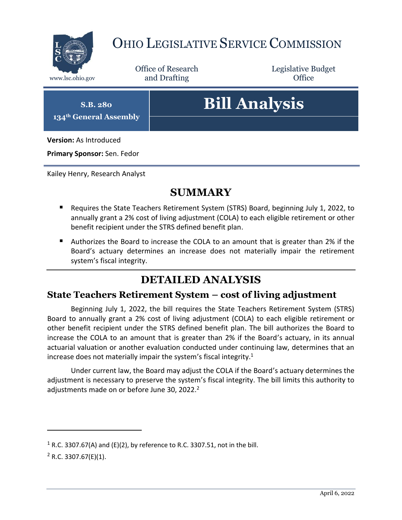

## OHIO LEGISLATIVE SERVICE COMMISSION

Office of Research www.lsc.ohio.gov **and Drafting Office** 

Legislative Budget

**S.B. 280 134th General Assembly**

# **Bill Analysis**

**Version:** As Introduced

**Primary Sponsor:** Sen. Fedor

Kailey Henry, Research Analyst

#### **SUMMARY**

- Requires the State Teachers Retirement System (STRS) Board, beginning July 1, 2022, to annually grant a 2% cost of living adjustment (COLA) to each eligible retirement or other benefit recipient under the STRS defined benefit plan.
- Authorizes the Board to increase the COLA to an amount that is greater than 2% if the Board's actuary determines an increase does not materially impair the retirement system's fiscal integrity.

#### **DETAILED ANALYSIS**

#### **State Teachers Retirement System – cost of living adjustment**

Beginning July 1, 2022, the bill requires the State Teachers Retirement System (STRS) Board to annually grant a 2% cost of living adjustment (COLA) to each eligible retirement or other benefit recipient under the STRS defined benefit plan. The bill authorizes the Board to increase the COLA to an amount that is greater than 2% if the Board's actuary, in its annual actuarial valuation or another evaluation conducted under continuing law, determines that an increase does not materially impair the system's fiscal integrity.<sup>1</sup>

Under current law, the Board may adjust the COLA if the Board's actuary determines the adjustment is necessary to preserve the system's fiscal integrity. The bill limits this authority to adjustments made on or before June 30, 2022.<sup>2</sup>

 $\overline{a}$ 

<sup>&</sup>lt;sup>1</sup> R.C. 3307.67(A) and (E)(2), by reference to R.C. 3307.51, not in the bill.

 $2$  R.C. 3307.67(E)(1).